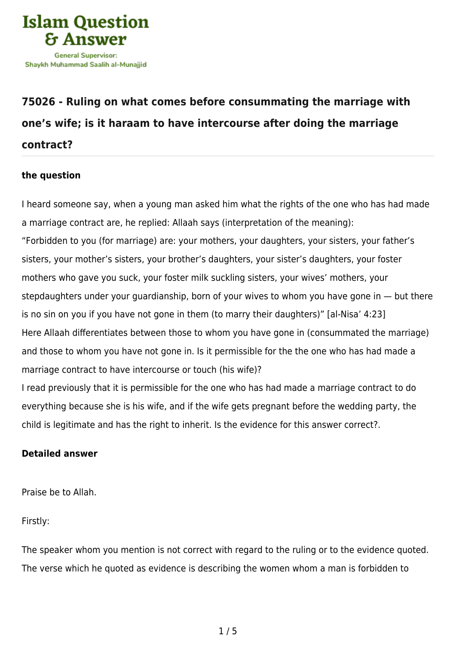

## **[75026 - Ruling on what comes before consummating the marriage with](https://islamqa.info/en/answers/75026/ruling-on-what-comes-before-consummating-the-marriage-with-ones-wife-is-it-haraam-to-have-intercourse-after-doing-the-marriage-contract) [one's wife; is it haraam to have intercourse after doing the marriage](https://islamqa.info/en/answers/75026/ruling-on-what-comes-before-consummating-the-marriage-with-ones-wife-is-it-haraam-to-have-intercourse-after-doing-the-marriage-contract) [contract?](https://islamqa.info/en/answers/75026/ruling-on-what-comes-before-consummating-the-marriage-with-ones-wife-is-it-haraam-to-have-intercourse-after-doing-the-marriage-contract)**

## **the question**

I heard someone say, when a young man asked him what the rights of the one who has had made a marriage contract are, he replied: Allaah says (interpretation of the meaning): "Forbidden to you (for marriage) are: your mothers, your daughters, your sisters, your father's sisters, your mother's sisters, your brother's daughters, your sister's daughters, your foster mothers who gave you suck, your foster milk suckling sisters, your wives' mothers, your stepdaughters under your guardianship, born of your wives to whom you have gone in — but there is no sin on you if you have not gone in them (to marry their daughters)" [al-Nisa' 4:23] Here Allaah differentiates between those to whom you have gone in (consummated the marriage) and those to whom you have not gone in. Is it permissible for the the one who has had made a marriage contract to have intercourse or touch (his wife)?

I read previously that it is permissible for the one who has had made a marriage contract to do everything because she is his wife, and if the wife gets pregnant before the wedding party, the child is legitimate and has the right to inherit. Is the evidence for this answer correct?.

## **Detailed answer**

Praise be to Allah.

Firstly:

The speaker whom you mention is not correct with regard to the ruling or to the evidence quoted. The verse which he quoted as evidence is describing the women whom a man is forbidden to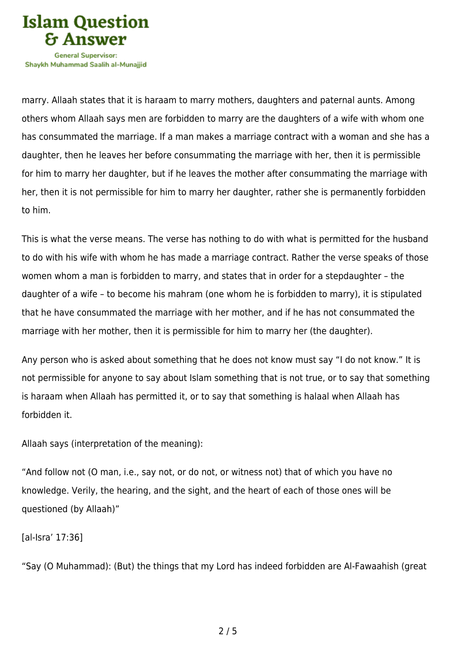

Shavkh Muhammad Saalih al-Munaiiid

marry. Allaah states that it is haraam to marry mothers, daughters and paternal aunts. Among others whom Allaah says men are forbidden to marry are the daughters of a wife with whom one has consummated the marriage. If a man makes a marriage contract with a woman and she has a daughter, then he leaves her before consummating the marriage with her, then it is permissible for him to marry her daughter, but if he leaves the mother after consummating the marriage with her, then it is not permissible for him to marry her daughter, rather she is permanently forbidden to him.

This is what the verse means. The verse has nothing to do with what is permitted for the husband to do with his wife with whom he has made a marriage contract. Rather the verse speaks of those women whom a man is forbidden to marry, and states that in order for a stepdaughter – the daughter of a wife – to become his mahram (one whom he is forbidden to marry), it is stipulated that he have consummated the marriage with her mother, and if he has not consummated the marriage with her mother, then it is permissible for him to marry her (the daughter).

Any person who is asked about something that he does not know must say "I do not know." It is not permissible for anyone to say about Islam something that is not true, or to say that something is haraam when Allaah has permitted it, or to say that something is halaal when Allaah has forbidden it.

Allaah says (interpretation of the meaning):

"And follow not (O man, i.e., say not, or do not, or witness not) that of which you have no knowledge. Verily, the hearing, and the sight, and the heart of each of those ones will be questioned (by Allaah)"

[al-Isra' 17:36]

"Say (O Muhammad): (But) the things that my Lord has indeed forbidden are Al‑Fawaahish (great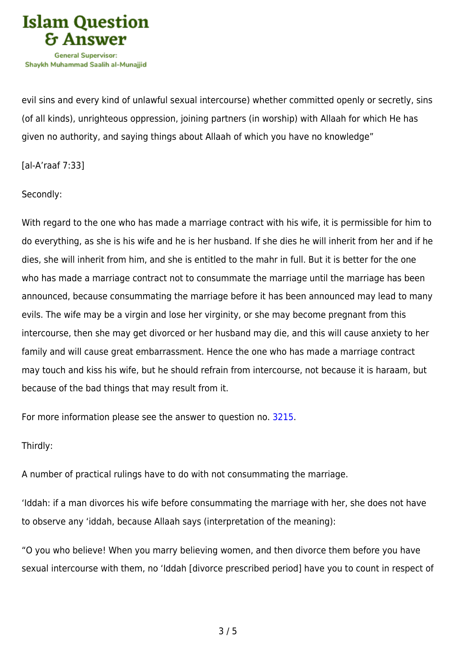

evil sins and every kind of unlawful sexual intercourse) whether committed openly or secretly, sins (of all kinds), unrighteous oppression, joining partners (in worship) with Allaah for which He has given no authority, and saying things about Allaah of which you have no knowledge"

[al-A'raaf 7:33]

Secondly:

With regard to the one who has made a marriage contract with his wife, it is permissible for him to do everything, as she is his wife and he is her husband. If she dies he will inherit from her and if he dies, she will inherit from him, and she is entitled to the mahr in full. But it is better for the one who has made a marriage contract not to consummate the marriage until the marriage has been announced, because consummating the marriage before it has been announced may lead to many evils. The wife may be a virgin and lose her virginity, or she may become pregnant from this intercourse, then she may get divorced or her husband may die, and this will cause anxiety to her family and will cause great embarrassment. Hence the one who has made a marriage contract may touch and kiss his wife, but he should refrain from intercourse, not because it is haraam, but because of the bad things that may result from it.

For more information please see the answer to question no. [3215](https://islamqa.info/en/answers/3215).

Thirdly:

A number of practical rulings have to do with not consummating the marriage.

'Iddah: if a man divorces his wife before consummating the marriage with her, she does not have to observe any 'iddah, because Allaah says (interpretation of the meaning):

"O you who believe! When you marry believing women, and then divorce them before you have sexual intercourse with them, no 'Iddah [divorce prescribed period] have you to count in respect of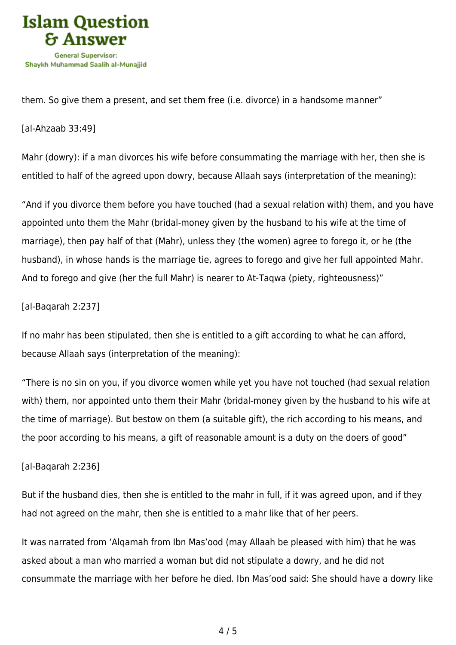

them. So give them a present, and set them free (i.e. divorce) in a handsome manner"

[al-Ahzaab 33:49]

Mahr (dowry): if a man divorces his wife before consummating the marriage with her, then she is entitled to half of the agreed upon dowry, because Allaah says (interpretation of the meaning):

"And if you divorce them before you have touched (had a sexual relation with) them, and you have appointed unto them the Mahr (bridal-money given by the husband to his wife at the time of marriage), then pay half of that (Mahr), unless they (the women) agree to forego it, or he (the husband), in whose hands is the marriage tie, agrees to forego and give her full appointed Mahr. And to forego and give (her the full Mahr) is nearer to At-Taqwa (piety, righteousness)"

[al-Baqarah 2:237]

If no mahr has been stipulated, then she is entitled to a gift according to what he can afford, because Allaah says (interpretation of the meaning):

"There is no sin on you, if you divorce women while yet you have not touched (had sexual relation with) them, nor appointed unto them their Mahr (bridal-money given by the husband to his wife at the time of marriage). But bestow on them (a suitable gift), the rich according to his means, and the poor according to his means, a gift of reasonable amount is a duty on the doers of good"

[al-Baqarah 2:236]

But if the husband dies, then she is entitled to the mahr in full, if it was agreed upon, and if they had not agreed on the mahr, then she is entitled to a mahr like that of her peers.

It was narrated from 'Alqamah from Ibn Mas'ood (may Allaah be pleased with him) that he was asked about a man who married a woman but did not stipulate a dowry, and he did not consummate the marriage with her before he died. Ibn Mas'ood said: She should have a dowry like